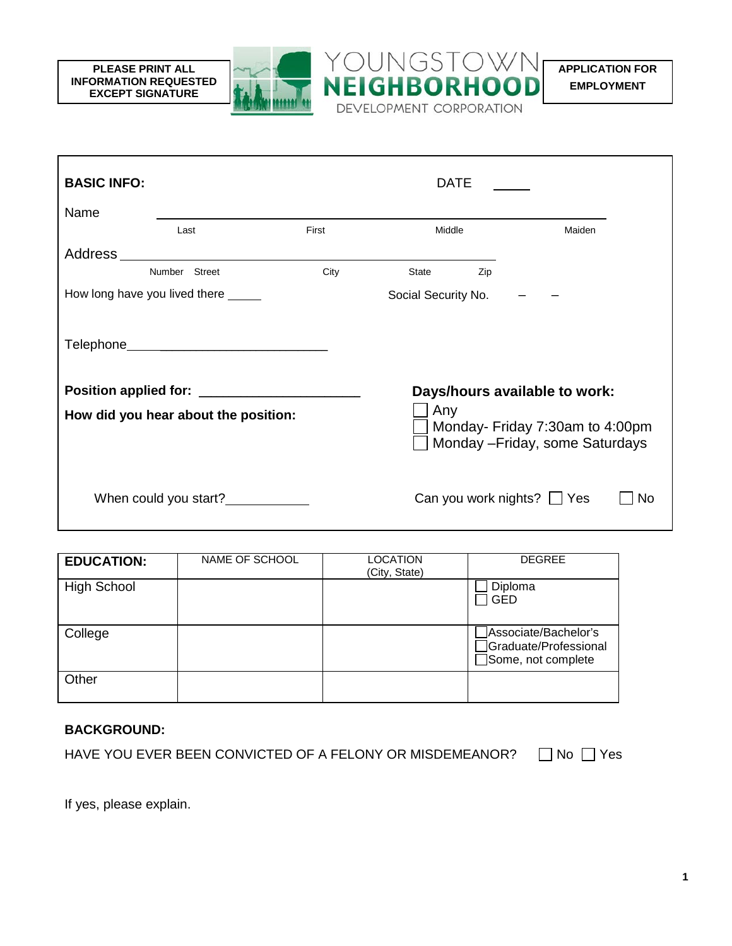**APPLICATION FOR EMPLOYMENT** 



YOUNGSTOWN

DEVELOPMENT CORPORATION

**NEIGHBORHOO** 

| <b>EDUCATION:</b>  | NAME OF SCHOOL | LOCATION<br>(City, State) | <b>DEGREE</b>                                                       |
|--------------------|----------------|---------------------------|---------------------------------------------------------------------|
| <b>High School</b> |                |                           | Diploma<br><b>GED</b>                                               |
| College            |                |                           | Associate/Bachelor's<br>Graduate/Professional<br>Some, not complete |
| Other              |                |                           |                                                                     |

## **BACKGROUND:**

**PLEASE PRINT ALL INFORMATION REQUESTED EXCEPT SIGNATURE**

| HAVE YOU EVER BEEN CONVICTED OF A FELONY OR MISDEMEANOR? | $\Box$ No $\Box$ Yes |  |
|----------------------------------------------------------|----------------------|--|
|----------------------------------------------------------|----------------------|--|

If yes, please explain.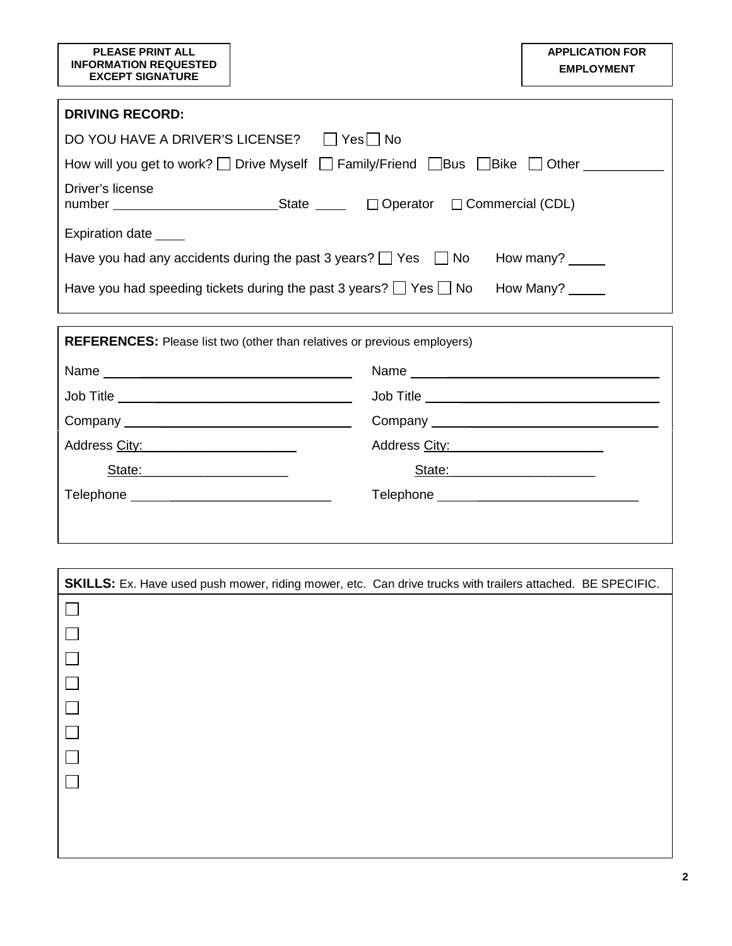| <b>PLEASE PRINT ALL</b><br><b>INFORMATION REQUESTED</b><br><b>EXCEPT SIGNATURE</b>                            | <b>APPLICATION FOR</b><br><b>EMPLOYMENT</b> |  |  |
|---------------------------------------------------------------------------------------------------------------|---------------------------------------------|--|--|
| <b>DRIVING RECORD:</b>                                                                                        |                                             |  |  |
| DO YOU HAVE A DRIVER'S LICENSE? □ Yes DNo                                                                     |                                             |  |  |
| How will you get to work? $\Box$ Drive Myself $\Box$ Family/Friend $\Box$ Bus $\Box$ Bike $\Box$ Other $\Box$ |                                             |  |  |
| Driver's license<br>number _______________________________State ______ □ Operator □ Commercial (CDL)          |                                             |  |  |
| Expiration date _____                                                                                         |                                             |  |  |
| Have you had any accidents during the past 3 years? $\Box$ Yes $\Box$ No How many? $\Box$                     |                                             |  |  |
| Have you had speeding tickets during the past 3 years? $\Box$ Yes $\Box$ No How Many?                         |                                             |  |  |
| <b>REFERENCES:</b> Please list two (other than relatives or previous employers)                               |                                             |  |  |
|                                                                                                               |                                             |  |  |
|                                                                                                               |                                             |  |  |
|                                                                                                               |                                             |  |  |
| Address City: Management of the Address City:                                                                 |                                             |  |  |
| State: State:                                                                                                 |                                             |  |  |
| Telephone ________________________________<br>Telephone ________________________________                      |                                             |  |  |
|                                                                                                               |                                             |  |  |

| SKILLS: Ex. Have used push mower, riding mower, etc. Can drive trucks with trailers attached. BE SPECIFIC. |  |
|------------------------------------------------------------------------------------------------------------|--|
|                                                                                                            |  |
|                                                                                                            |  |
|                                                                                                            |  |
|                                                                                                            |  |
|                                                                                                            |  |
|                                                                                                            |  |
|                                                                                                            |  |
|                                                                                                            |  |
|                                                                                                            |  |
|                                                                                                            |  |
|                                                                                                            |  |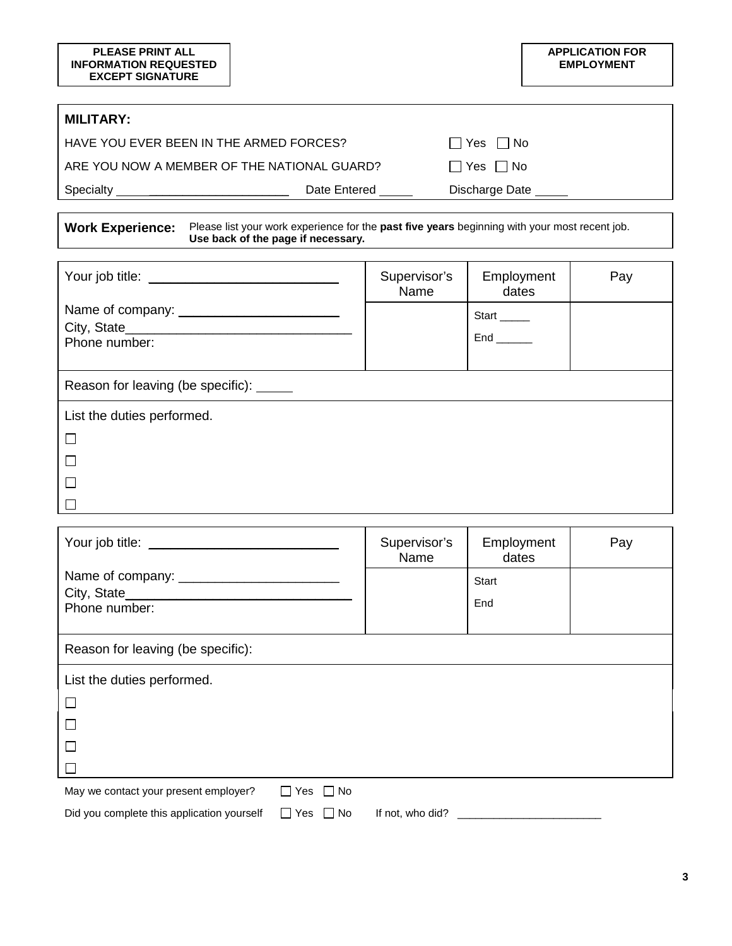|                                                        | <b>APPLICATION FOR</b><br><b>EMPLOYMENT</b> |
|--------------------------------------------------------|---------------------------------------------|
|                                                        |                                             |
| <b>MILITARY:</b>                                       |                                             |
| HAVE YOU EVER BEEN IN THE ARMED FORCES?                | $\Box$ Yes $\Box$ No                        |
| ARE YOU NOW A MEMBER OF THE NATIONAL GUARD?            | $\Box$ Yes $\Box$<br>l INo                  |
| Specialty <u>_____________________</u><br>Date Entered | Discharge Date                              |
|                                                        |                                             |

| Work Experience: Please list your work experience for the past five years beginning with your most recent job. |
|----------------------------------------------------------------------------------------------------------------|
| Use back of the page if necessary.                                                                             |

|                                          | Supervisor's<br>Name | Employment<br>dates                      | Pay |
|------------------------------------------|----------------------|------------------------------------------|-----|
| Phone number:                            |                      | Start ______<br>$End$ <sub>_______</sub> |     |
| Reason for leaving (be specific): ______ |                      |                                          |     |
| List the duties performed.               |                      |                                          |     |
| $\Box$                                   |                      |                                          |     |
|                                          |                      |                                          |     |
| $\Box$                                   |                      |                                          |     |
|                                          |                      |                                          |     |

| Your job title: __________                 |                      | Supervisor's<br>Name           | Employment<br>dates | Pay |
|--------------------------------------------|----------------------|--------------------------------|---------------------|-----|
|                                            |                      |                                | Start               |     |
| Phone number:                              |                      |                                | End                 |     |
|                                            |                      |                                |                     |     |
| Reason for leaving (be specific):          |                      |                                |                     |     |
| List the duties performed.                 |                      |                                |                     |     |
| $\Box$                                     |                      |                                |                     |     |
| $\Box$                                     |                      |                                |                     |     |
|                                            |                      |                                |                     |     |
|                                            |                      |                                |                     |     |
| May we contact your present employer?      | $\Box$ Yes $\Box$ No |                                |                     |     |
| Did you complete this application yourself | $\Box$ Yes $\Box$ No | If not, who did? $\frac{1}{2}$ |                     |     |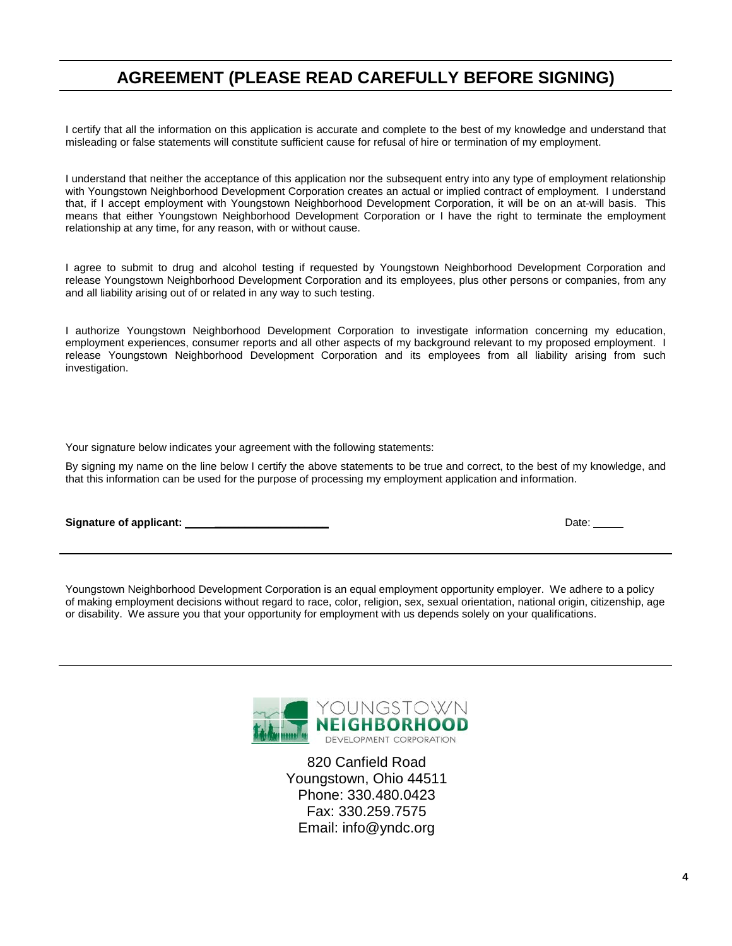## **AGREEMENT (PLEASE READ CAREFULLY BEFORE SIGNING)**

I certify that all the information on this application is accurate and complete to the best of my knowledge and understand that misleading or false statements will constitute sufficient cause for refusal of hire or termination of my employment.

I understand that neither the acceptance of this application nor the subsequent entry into any type of employment relationship with Youngstown Neighborhood Development Corporation creates an actual or implied contract of employment. I understand that, if I accept employment with Youngstown Neighborhood Development Corporation, it will be on an at-will basis. This means that either Youngstown Neighborhood Development Corporation or I have the right to terminate the employment relationship at any time, for any reason, with or without cause.

I agree to submit to drug and alcohol testing if requested by Youngstown Neighborhood Development Corporation and release Youngstown Neighborhood Development Corporation and its employees, plus other persons or companies, from any and all liability arising out of or related in any way to such testing.

I authorize Youngstown Neighborhood Development Corporation to investigate information concerning my education, employment experiences, consumer reports and all other aspects of my background relevant to my proposed employment. I release Youngstown Neighborhood Development Corporation and its employees from all liability arising from such investigation.

Your signature below indicates your agreement with the following statements:

By signing my name on the line below I certify the above statements to be true and correct, to the best of my knowledge, and that this information can be used for the purpose of processing my employment application and information.

**Signature of applicant: \_\_\_\_\_\_\_\_\_\_\_\_\_\_\_\_\_\_\_** Date:

Youngstown Neighborhood Development Corporation is an equal employment opportunity employer. We adhere to a policy of making employment decisions without regard to race, color, religion, sex, sexual orientation, national origin, citizenship, age or disability. We assure you that your opportunity for employment with us depends solely on your qualifications.



820 Canfield Road Youngstown, Ohio 44511 Phone: 330.480.0423 Fax: 330.259.7575 Email: info@yndc.org